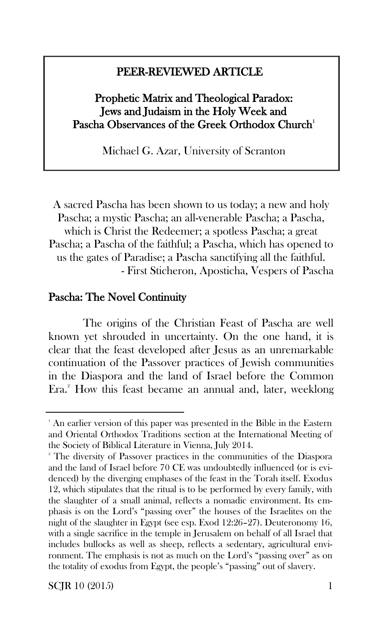## j PEER-REVIEWED ARTICLE

# Prophetic Matrix and Theological Paradox: Jews and Judaism in the Holy Week and Pascha Observances of the Greek Orthodox Church<sup>1</sup>

Michael G. Azar, University of Scranton

A sacred Pascha has been shown to us today; a new and holy Pascha; a mystic Pascha; an all-venerable Pascha; a Pascha, which is Christ the Redeemer; a spotless Pascha; a great Pascha; a Pascha of the faithful; a Pascha, which has opened to us the gates of Paradise; a Pascha sanctifying all the faithful. - First Sticheron, Aposticha, Vespers of Pascha

# Pascha: The Novel Continuity

The origins of the Christian Feast of Pascha are well known yet shrouded in uncertainty. On the one hand, it is clear that the feast developed after Jesus as an unremarkable continuation of the Passover practices of Jewish communities in the Diaspora and the land of Israel before the Common Era.<sup>2</sup> How this feast became an annual and, later, weeklong

 $SCIR$  10 (2015) 1

<sup>&</sup>lt;sup>1</sup> An earlier version of this paper was presented in the Bible in the Eastern and Oriental Orthodox Traditions section at the International Meeting of the Society of Biblical Literature in Vienna, July 2014.

<sup>2</sup> The diversity of Passover practices in the communities of the Diaspora and the land of Israel before 70 CE was undoubtedly influenced (or is evidenced) by the diverging emphases of the feast in the Torah itself. Exodus 12, which stipulates that the ritual is to be performed by every family, with the slaughter of a small animal, reflects a nomadic environment. Its emphasis is on the Lord's "passing over" the houses of the Israelites on the night of the slaughter in Egypt (see esp. Exod 12:26–27). Deuteronomy 16, with a single sacrifice in the temple in Jerusalem on behalf of all Israel that includes bullocks as well as sheep, reflects a sedentary, agricultural environment. The emphasis is not as much on the Lord's "passing over" as on the totality of exodus from Egypt, the people's "passing" out of slavery.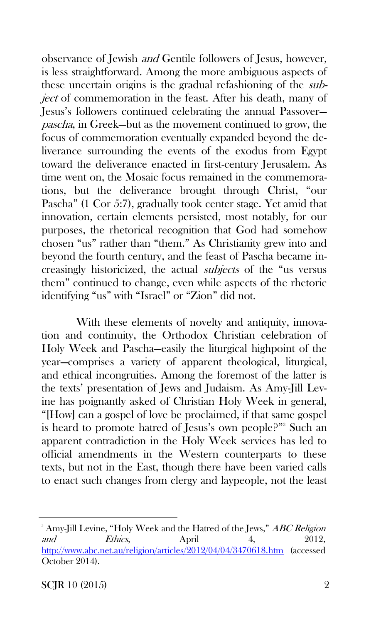observance of Jewish and Gentile followers of Jesus, however, is less straightforward. Among the more ambiguous aspects of these uncertain origins is the gradual refashioning of the subject of commemoration in the feast. After his death, many of Jesus's followers continued celebrating the annual Passover pascha, in Greek—but as the movement continued to grow, the focus of commemoration eventually expanded beyond the deliverance surrounding the events of the exodus from Egypt toward the deliverance enacted in first-century Jerusalem. As time went on, the Mosaic focus remained in the commemorations, but the deliverance brought through Christ, "our Pascha" (1 Cor 5:7), gradually took center stage. Yet amid that innovation, certain elements persisted, most notably, for our purposes, the rhetorical recognition that God had somehow chosen "us" rather than "them." As Christianity grew into and beyond the fourth century, and the feast of Pascha became increasingly historicized, the actual subjects of the "us versus them" continued to change, even while aspects of the rhetoric identifying "us" with "Israel" or "Zion" did not.

With these elements of novelty and antiquity, innovation and continuity, the Orthodox Christian celebration of Holy Week and Pascha—easily the liturgical highpoint of the year—comprises a variety of apparent theological, liturgical, and ethical incongruities. Among the foremost of the latter is the texts' presentation of Jews and Judaism. As Amy-Jill Levine has poignantly asked of Christian Holy Week in general, "[How] can a gospel of love be proclaimed, if that same gospel is heard to promote hatred of Jesus's own people?"<sup>3</sup> Such an apparent contradiction in the Holy Week services has led to official amendments in the Western counterparts to these texts, but not in the East, though there have been varied calls to enact such changes from clergy and laypeople, not the least

<sup>&</sup>lt;sup>3</sup> Amy-Jill Levine, "Holy Week and the Hatred of the Jews," ABC Religion and Ethics, April 4, 2012, <http://www.abc.net.au/religion/articles/2012/04/04/3470618.htm> (accessed October 2014).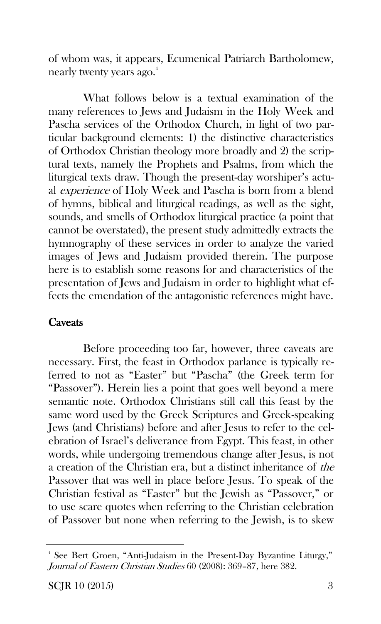of whom was, it appears, Ecumenical Patriarch Bartholomew, nearly twenty years ago. $^4$ 

What follows below is a textual examination of the many references to Jews and Judaism in the Holy Week and Pascha services of the Orthodox Church, in light of two particular background elements: 1) the distinctive characteristics of Orthodox Christian theology more broadly and 2) the scriptural texts, namely the Prophets and Psalms, from which the liturgical texts draw. Though the present-day worshiper's actual experience of Holy Week and Pascha is born from a blend of hymns, biblical and liturgical readings, as well as the sight, sounds, and smells of Orthodox liturgical practice (a point that cannot be overstated), the present study admittedly extracts the hymnography of these services in order to analyze the varied images of Jews and Judaism provided therein. The purpose here is to establish some reasons for and characteristics of the presentation of Jews and Judaism in order to highlight what effects the emendation of the antagonistic references might have.

## **Caveats**

Before proceeding too far, however, three caveats are necessary. First, the feast in Orthodox parlance is typically referred to not as "Easter" but "Pascha" (the Greek term for "Passover"). Herein lies a point that goes well beyond a mere semantic note. Orthodox Christians still call this feast by the same word used by the Greek Scriptures and Greek-speaking Jews (and Christians) before and after Jesus to refer to the celebration of Israel's deliverance from Egypt. This feast, in other words, while undergoing tremendous change after Jesus, is not a creation of the Christian era, but a distinct inheritance of the Passover that was well in place before Jesus. To speak of the Christian festival as "Easter" but the Jewish as "Passover," or to use scare quotes when referring to the Christian celebration of Passover but none when referring to the Jewish, is to skew

<sup>4</sup> See Bert Groen, "Anti-Judaism in the Present-Day Byzantine Liturgy," Journal of Eastern Christian Studies 60 (2008): 369–87, here 382.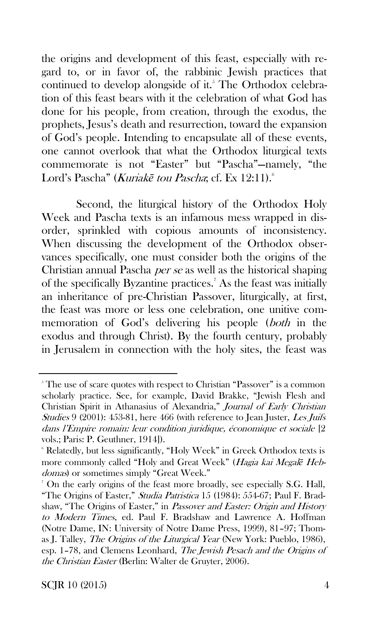the origins and development of this feast, especially with regard to, or in favor of, the rabbinic Jewish practices that continued to develop alongside of it. $5$  The Orthodox celebration of this feast bears with it the celebration of what God has done for his people, from creation, through the exodus, the prophets, Jesus's death and resurrection, toward the expansion of God's people. Intending to encapsulate all of these events, one cannot overlook that what the Orthodox liturgical texts commemorate is not "Easter" but "Pascha"—namely, "the Lord's Pascha" (Kuriakē tou Pascha; cf. Ex 12:11).<sup>6</sup>

Second, the liturgical history of the Orthodox Holy Week and Pascha texts is an infamous mess wrapped in disorder, sprinkled with copious amounts of inconsistency. When discussing the development of the Orthodox observances specifically, one must consider both the origins of the Christian annual Pascha per se as well as the historical shaping of the specifically Byzantine practices.<sup>7</sup> As the feast was initially an inheritance of pre-Christian Passover, liturgically, at first, the feast was more or less one celebration, one unitive commemoration of God's delivering his people (both in the exodus and through Christ). By the fourth century, probably in Jerusalem in connection with the holy sites, the feast was

SCJR 10 (2015) 4

<sup>&</sup>lt;sup>5</sup> The use of scare quotes with respect to Christian "Passover" is a common scholarly practice. See, for example, David Brakke, "Jewish Flesh and Christian Spirit in Athanasius of Alexandria," Journal of Early Christian Studies 9 (2001): 453-81, here 466 (with reference to Jean Juster, Les Juifs dans l'Empire romain: leur condition juridique, économique et sociale [2 vols.; Paris: P. Geuthner, 1914]).

<sup>6</sup> Relatedly, but less significantly, "Holy Week" in Greek Orthodox texts is more commonly called "Holy and Great Week" (Hagia kai Megal*ē* Hebdomas) or sometimes simply "Great Week."

<sup>7</sup> On the early origins of the feast more broadly, see especially S.G. Hall, "The Origins of Easter," Studia Patristica 15 (1984): 554-67; Paul F. Bradshaw, "The Origins of Easter," in *Passover and Easter: Origin and History* to Modern Times, ed. Paul F. Bradshaw and Lawrence A. Hoffman (Notre Dame, IN: University of Notre Dame Press, 1999), 81–97; Thomas J. Talley, The Origins of the Liturgical Year (New York: Pueblo, 1986), esp. 1–78, and Clemens Leonhard, The Jewish Pesach and the Origins of the Christian Easter (Berlin: Walter de Gruyter, 2006).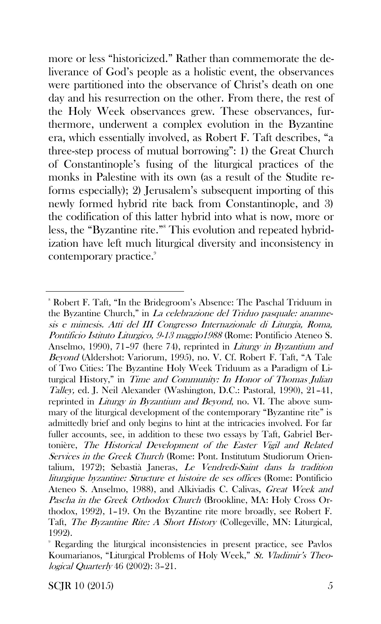more or less "historicized." Rather than commemorate the deliverance of God's people as a holistic event, the observances were partitioned into the observance of Christ's death on one day and his resurrection on the other. From there, the rest of the Holy Week observances grew. These observances, furthermore, underwent a complex evolution in the Byzantine era, which essentially involved, as Robert F. Taft describes, "a three-step process of mutual borrowing": 1) the Great Church of Constantinople's fusing of the liturgical practices of the monks in Palestine with its own (as a result of the Studite reforms especially); 2) Jerusalem's subsequent importing of this newly formed hybrid rite back from Constantinople, and 3) the codification of this latter hybrid into what is now, more or less, the "Byzantine rite."<sup>8</sup> This evolution and repeated hybridization have left much liturgical diversity and inconsistency in contemporary practice.<sup>9</sup>

SCJR 10  $(2015)$  5

<sup>8</sup> Robert F. Taft, "In the Bridegroom's Absence: The Paschal Triduum in the Byzantine Church," in La celebrazione del Triduo pasquale: anamnesis e mimesis. Atti del III Congresso Internazionale di Liturgia, Roma, Pontificio Istituto Liturgico, 9-13 maggio1988 (Rome: Pontificio Ateneo S. Anselmo, 1990), 71–97 (here 74), reprinted in Liturgy in Byzantium and Beyond (Aldershot: Variorum, 1995), no. V. Cf. Robert F. Taft, "A Tale of Two Cities: The Byzantine Holy Week Triduum as a Paradigm of Liturgical History," in Time and Community: In Honor of Thomas Julian Talley, ed. J. Neil Alexander (Washington, D.C.: Pastoral, 1990), 21–41, reprinted in *Liturgy in Byzantium and Beyond*, no. VI. The above summary of the liturgical development of the contemporary "Byzantine rite" is admittedly brief and only begins to hint at the intricacies involved. For far fuller accounts, see, in addition to these two essays by Taft, Gabriel Bertonière, The Historical Development of the Easter Vigil and Related Services in the Greek Church (Rome: Pont. Institutum Studiorum Orientalium, 1972); Sebastià Janeras, Le Vendredi-Saint dans la tradition liturgique byzantine: Structure et histoire de ses offices (Rome: Pontificio Ateneo S. Anselmo, 1988), and Alkiviadis C. Calivas, Great Week and Pascha in the Greek Orthodox Church (Brookline, MA: Holy Cross Orthodox, 1992), 1–19. On the Byzantine rite more broadly, see Robert F. Taft, *The Byzantine Rite: A Short History* (Collegeville, MN: Liturgical, 1992).

<sup>9</sup> Regarding the liturgical inconsistencies in present practice, see Pavlos Koumarianos, "Liturgical Problems of Holy Week," St. Vladimir's Theological Quarterly 46 (2002): 3–21.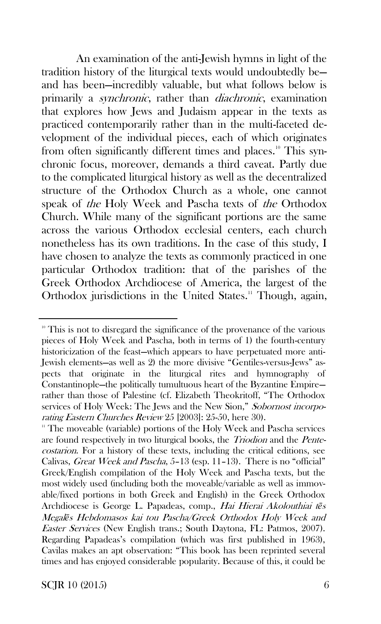An examination of the anti-Jewish hymns in light of the tradition history of the liturgical texts would undoubtedly be and has been—incredibly valuable, but what follows below is primarily a synchronic, rather than diachronic, examination that explores how Jews and Judaism appear in the texts as practiced contemporarily rather than in the multi-faceted development of the individual pieces, each of which originates from often significantly different times and places.<sup>10</sup> This synchronic focus, moreover, demands a third caveat. Partly due to the complicated liturgical history as well as the decentralized structure of the Orthodox Church as a whole, one cannot speak of the Holy Week and Pascha texts of the Orthodox Church. While many of the significant portions are the same across the various Orthodox ecclesial centers, each church nonetheless has its own traditions. In the case of this study, I have chosen to analyze the texts as commonly practiced in one particular Orthodox tradition: that of the parishes of the Greek Orthodox Archdiocese of America, the largest of the Orthodox jurisdictions in the United States.<sup>11</sup> Though, again,

<sup>&</sup>lt;sup>10</sup> This is not to disregard the significance of the provenance of the various pieces of Holy Week and Pascha, both in terms of 1) the fourth-century historicization of the feast—which appears to have perpetuated more anti-Jewish elements—as well as 2) the more divisive "Gentiles-versus-Jews" aspects that originate in the liturgical rites and hymnography of Constantinople—the politically tumultuous heart of the Byzantine Empire rather than those of Palestine (cf. Elizabeth Theokritoff, "The Orthodox services of Holy Week: The Jews and the New Sion," Sobornost incorporating Eastern Churches Review 25 [2003]: 25-50, here 30).

<sup>&</sup>lt;sup>11</sup> The moveable (variable) portions of the Holy Week and Pascha services are found respectively in two liturgical books, the Triodion and the Pentecostarion. For a history of these texts, including the critical editions, see Calivas, Great Week and Pascha, 5–13 (esp. 11–13). There is no "official" Greek/English compilation of the Holy Week and Pascha texts, but the most widely used (including both the moveable/variable as well as immovable/fixed portions in both Greek and English) in the Greek Orthodox Archdiocese is George L. Papadeas, comp., Hai Hierai Akolouthiai t*ē*<sup>s</sup> Megal*ē*s Hebdomasos kai tou Pascha/Greek Orthodox Holy Week and Easter Services (New English trans.; South Daytona, FL: Patmos, 2007). Regarding Papadeas's compilation (which was first published in 1963), Cavilas makes an apt observation: "This book has been reprinted several times and has enjoyed considerable popularity. Because of this, it could be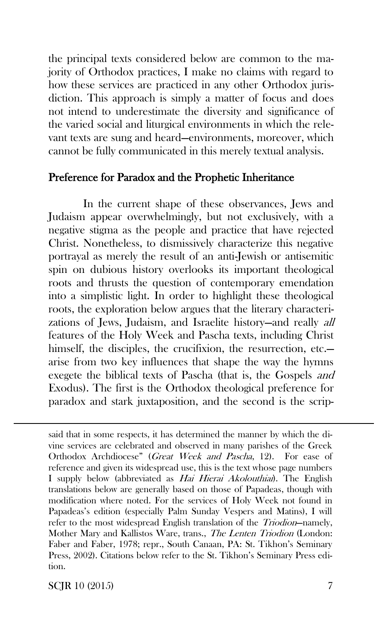the principal texts considered below are common to the majority of Orthodox practices, I make no claims with regard to how these services are practiced in any other Orthodox jurisdiction. This approach is simply a matter of focus and does not intend to underestimate the diversity and significance of the varied social and liturgical environments in which the relevant texts are sung and heard—environments, moreover, which cannot be fully communicated in this merely textual analysis.

### Preference for Paradox and the Prophetic Inheritance

In the current shape of these observances, Jews and Judaism appear overwhelmingly, but not exclusively, with a negative stigma as the people and practice that have rejected Christ. Nonetheless, to dismissively characterize this negative portrayal as merely the result of an anti-Jewish or antisemitic spin on dubious history overlooks its important theological roots and thrusts the question of contemporary emendation into a simplistic light. In order to highlight these theological roots, the exploration below argues that the literary characterizations of Jews, Judaism, and Israelite history—and really all features of the Holy Week and Pascha texts, including Christ himself, the disciples, the crucifixion, the resurrection, etc. arise from two key influences that shape the way the hymns exegete the biblical texts of Pascha (that is, the Gospels and Exodus). The first is the Orthodox theological preference for paradox and stark juxtaposition, and the second is the scrip-

said that in some respects, it has determined the manner by which the divine services are celebrated and observed in many parishes of the Greek Orthodox Archdiocese" (Great Week and Pascha, 12). For ease of reference and given its widespread use, this is the text whose page numbers I supply below (abbreviated as Hai Hierai Akolouthiai). The English translations below are generally based on those of Papadeas, though with modification where noted. For the services of Holy Week not found in Papadeas's edition (especially Palm Sunday Vespers and Matins), I will refer to the most widespread English translation of the Triodion-namely, Mother Mary and Kallistos Ware, trans., The Lenten Triodion (London: Faber and Faber, 1978; repr., South Canaan, PA: St. Tikhon's Seminary Press, 2002). Citations below refer to the St. Tikhon's Seminary Press edition.

 $SCIR$  10 (2015) 7

 $\overline{a}$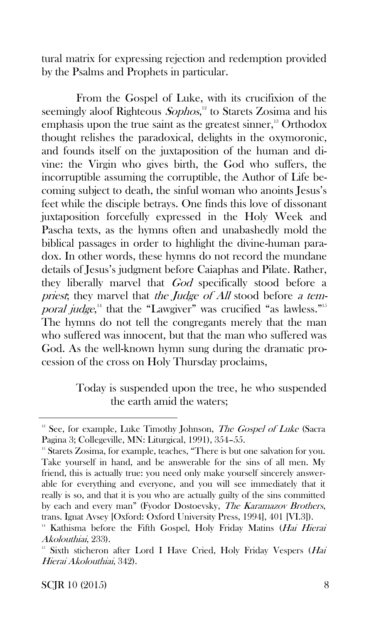tural matrix for expressing rejection and redemption provided by the Psalms and Prophets in particular.

From the Gospel of Luke, with its crucifixion of the seemingly aloof Righteous Sophos,<sup>12</sup> to Starets Zosima and his emphasis upon the true saint as the greatest sinner, $13$  Orthodox thought relishes the paradoxical, delights in the oxymoronic, and founds itself on the juxtaposition of the human and divine: the Virgin who gives birth, the God who suffers, the incorruptible assuming the corruptible, the Author of Life becoming subject to death, the sinful woman who anoints Jesus's feet while the disciple betrays. One finds this love of dissonant juxtaposition forcefully expressed in the Holy Week and Pascha texts, as the hymns often and unabashedly mold the biblical passages in order to highlight the divine-human paradox. In other words, these hymns do not record the mundane details of Jesus's judgment before Caiaphas and Pilate. Rather, they liberally marvel that God specifically stood before a priest; they marvel that the Judge of All stood before a temporal judge, $^{14}$  that the "Lawgiver" was crucified "as lawless."<sup>15</sup> The hymns do not tell the congregants merely that the man who suffered was innocent, but that the man who suffered was God. As the well-known hymn sung during the dramatic procession of the cross on Holy Thursday proclaims,

> Today is suspended upon the tree, he who suspended the earth amid the waters;

 $12$  See, for example, Luke Timothy Johnson, The Gospel of Luke (Sacra Pagina 3; Collegeville, MN: Liturgical, 1991), 354–55.

<sup>&</sup>lt;sup>13</sup> Starets Zosima, for example, teaches, "There is but one salvation for you. Take yourself in hand, and be answerable for the sins of all men. My friend, this is actually true: you need only make yourself sincerely answerable for everything and everyone, and you will see immediately that it really is so, and that it is you who are actually guilty of the sins committed by each and every man" (Fyodor Dostoevsky, The Karamazov Brothers, trans. Ignat Avsey [Oxford: Oxford University Press, 1994], 401 [VI.3]).

<sup>&</sup>lt;sup>14</sup> Kathisma before the Fifth Gospel, Holy Friday Matins (Hai Hierai Akolouthiai, 233).

<sup>&</sup>lt;sup>15</sup> Sixth sticheron after Lord I Have Cried, Holy Friday Vespers (Hai Hierai Akolouthiai, 342).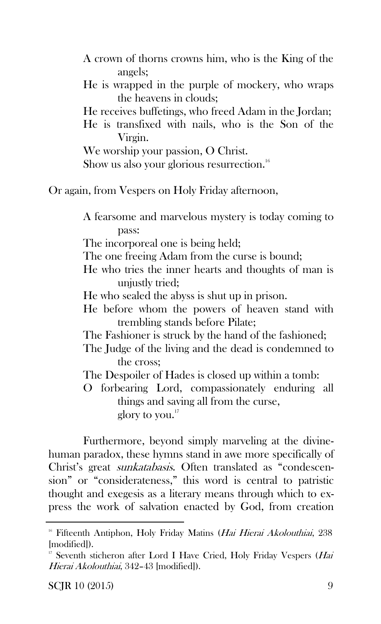A crown of thorns crowns him, who is the King of the angels;

- He is wrapped in the purple of mockery, who wraps the heavens in clouds;
- He receives buffetings, who freed Adam in the Jordan;
- He is transfixed with nails, who is the Son of the Virgin.
- We worship your passion, O Christ.

Show us also your glorious resurrection.<sup>16</sup>

Or again, from Vespers on Holy Friday afternoon,

A fearsome and marvelous mystery is today coming to pass:

The incorporeal one is being held;

- The one freeing Adam from the curse is bound;
- He who tries the inner hearts and thoughts of man is unjustly tried;
- He who sealed the abyss is shut up in prison.
- He before whom the powers of heaven stand with trembling stands before Pilate;
- The Fashioner is struck by the hand of the fashioned;
- The Judge of the living and the dead is condemned to the cross;
- The Despoiler of Hades is closed up within a tomb:
- O forbearing Lord, compassionately enduring all things and saving all from the curse, glory to you. $17$

Furthermore, beyond simply marveling at the divinehuman paradox, these hymns stand in awe more specifically of Christ's great sunkatabasis. Often translated as "condescension" or "considerateness," this word is central to patristic thought and exegesis as a literary means through which to express the work of salvation enacted by God, from creation

<sup>&</sup>lt;sup>16</sup> Fifteenth Antiphon, Holy Friday Matins (Hai Hierai Akolouthiai, 238 [modified]).

<sup>&</sup>lt;sup>17</sup> Seventh sticheron after Lord I Have Cried, Holy Friday Vespers (Hai Hierai Akolouthiai, 342–43 [modified]).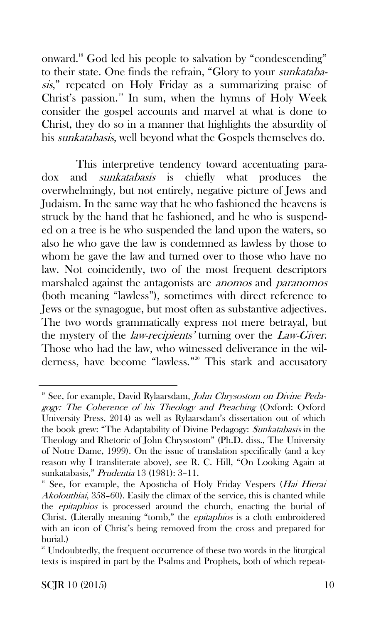onward.<sup>18</sup> God led his people to salvation by "condescending" to their state. One finds the refrain, "Glory to your sunkatabasis," repeated on Holy Friday as a summarizing praise of Christ's passion.<sup>19</sup> In sum, when the hymns of Holy Week consider the gospel accounts and marvel at what is done to Christ, they do so in a manner that highlights the absurdity of his sunkatabasis, well beyond what the Gospels themselves do.

This interpretive tendency toward accentuating paradox and sunkatabasis is chiefly what produces the overwhelmingly, but not entirely, negative picture of Jews and Judaism. In the same way that he who fashioned the heavens is struck by the hand that he fashioned, and he who is suspended on a tree is he who suspended the land upon the waters, so also he who gave the law is condemned as lawless by those to whom he gave the law and turned over to those who have no law. Not coincidently, two of the most frequent descriptors marshaled against the antagonists are anomos and paranomos (both meaning "lawless"), sometimes with direct reference to Jews or the synagogue, but most often as substantive adjectives. The two words grammatically express not mere betrayal, but the mystery of the law-recipients' turning over the Law-Giver. Those who had the law, who witnessed deliverance in the wilderness, have become "lawless."<sup>20</sup> This stark and accusatory

<sup>&</sup>lt;sup>18</sup> See, for example, David Rylaarsdam, John Chrysostom on Divine Pedagogy: The Coherence of his Theology and Preaching (Oxford: Oxford University Press, 2014) as well as Rylaarsdam's dissertation out of which the book grew: "The Adaptability of Divine Pedagogy: Sunkatabasis in the Theology and Rhetoric of John Chrysostom" (Ph.D. diss., The University of Notre Dame, 1999). On the issue of translation specifically (and a key reason why I transliterate above), see R. C. Hill, "On Looking Again at sunkatabasis," Prudentia 13 (1981): 3–11.

<sup>&</sup>lt;sup>19</sup> See, for example, the Aposticha of Holy Friday Vespers (*Hai Hierai* Akolouthiai, 358–60). Easily the climax of the service, this is chanted while the epitaphios is processed around the church, enacting the burial of Christ. (Literally meaning "tomb," the epitaphios is a cloth embroidered with an icon of Christ's being removed from the cross and prepared for burial.)

<sup>&</sup>lt;sup>20</sup> Undoubtedly, the frequent occurrence of these two words in the liturgical texts is inspired in part by the Psalms and Prophets, both of which repeat-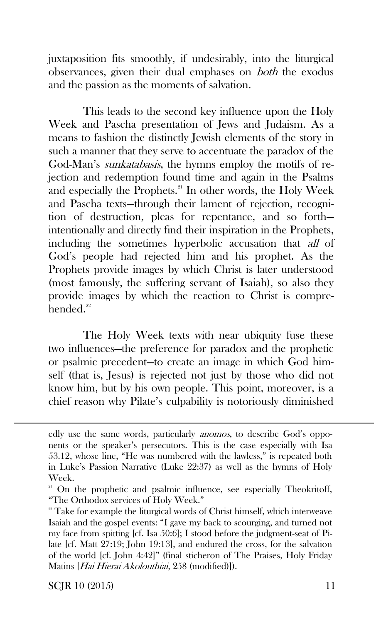juxtaposition fits smoothly, if undesirably, into the liturgical observances, given their dual emphases on both the exodus and the passion as the moments of salvation.

This leads to the second key influence upon the Holy Week and Pascha presentation of Jews and Judaism. As a means to fashion the distinctly Jewish elements of the story in such a manner that they serve to accentuate the paradox of the God-Man's sunkatabasis, the hymns employ the motifs of rejection and redemption found time and again in the Psalms and especially the Prophets.<sup>21</sup> In other words, the Holy Week and Pascha texts—through their lament of rejection, recognition of destruction, pleas for repentance, and so forth intentionally and directly find their inspiration in the Prophets, including the sometimes hyperbolic accusation that all of God's people had rejected him and his prophet. As the Prophets provide images by which Christ is later understood (most famously, the suffering servant of Isaiah), so also they provide images by which the reaction to Christ is comprehended. $22$ 

The Holy Week texts with near ubiquity fuse these two influences—the preference for paradox and the prophetic or psalmic precedent—to create an image in which God himself (that is, Jesus) is rejected not just by those who did not know him, but by his own people. This point, moreover, is a chief reason why Pilate's culpability is notoriously diminished

 $SCIR$  10 (2015) 11

 $\overline{a}$ 

edly use the same words, particularly *anomos*, to describe God's opponents or the speaker's persecutors. This is the case especially with Isa 53.12, whose line, "He was numbered with the lawless," is repeated both in Luke's Passion Narrative (Luke 22:37) as well as the hymns of Holy Week.

<sup>&</sup>lt;sup>21</sup> On the prophetic and psalmic influence, see especially Theokritoff, "The Orthodox services of Holy Week."

 $22$ <sup>22</sup> Take for example the liturgical words of Christ himself, which interweave Isaiah and the gospel events: "I gave my back to scourging, and turned not my face from spitting [cf. Isa 50:6]; I stood before the judgment-seat of Pilate [cf. Matt 27:19; John 19:13], and endured the cross, for the salvation of the world [cf. John 4:42]" (final sticheron of The Praises, Holy Friday Matins [Hai Hierai Akolouthiai, 258 (modified)]).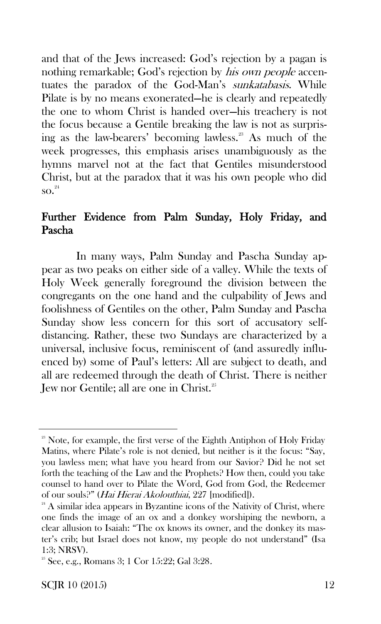and that of the Jews increased: God's rejection by a pagan is nothing remarkable; God's rejection by his own people accentuates the paradox of the God-Man's *sunkatabasis*. While Pilate is by no means exonerated—he is clearly and repeatedly the one to whom Christ is handed over—his treachery is not the focus because a Gentile breaking the law is not as surprising as the law-bearers' becoming lawless.<sup>23</sup> As much of the week progresses, this emphasis arises unambiguously as the hymns marvel not at the fact that Gentiles misunderstood Christ, but at the paradox that it was his own people who did  $\mathrm{so.}^{^{24}}$ 

## Further Evidence from Palm Sunday, Holy Friday, and Pascha

In many ways, Palm Sunday and Pascha Sunday appear as two peaks on either side of a valley. While the texts of Holy Week generally foreground the division between the congregants on the one hand and the culpability of Jews and foolishness of Gentiles on the other, Palm Sunday and Pascha Sunday show less concern for this sort of accusatory selfdistancing. Rather, these two Sundays are characterized by a universal, inclusive focus, reminiscent of (and assuredly influenced by) some of Paul's letters: All are subject to death, and all are redeemed through the death of Christ. There is neither Jew nor Gentile; all are one in Christ.<sup>25</sup>

<sup>&</sup>lt;sup>23</sup> Note, for example, the first verse of the Eighth Antiphon of Holy Friday Matins, where Pilate's role is not denied, but neither is it the focus: "Say, you lawless men; what have you heard from our Savior? Did he not set forth the teaching of the Law and the Prophets? How then, could you take counsel to hand over to Pilate the Word, God from God, the Redeemer of our souls?" (Hai Hierai Akolouthiai, 227 [modified]).

 $24$  A similar idea appears in Byzantine icons of the Nativity of Christ, where one finds the image of an ox and a donkey worshiping the newborn, a clear allusion to Isaiah: "The ox knows its owner, and the donkey its master's crib; but Israel does not know, my people do not understand" (Isa 1:3; NRSV).

 $2^{\circ}$  See, e.g., Romans 3; 1 Cor 15:22; Gal 3:28.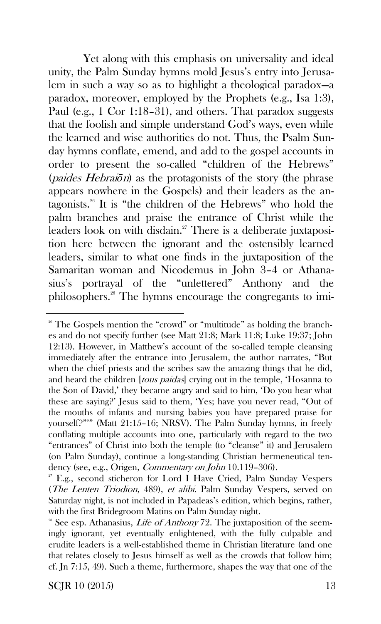Yet along with this emphasis on universality and ideal unity, the Palm Sunday hymns mold Jesus's entry into Jerusalem in such a way so as to highlight a theological paradox—a paradox, moreover, employed by the Prophets (e.g., Isa 1:3), Paul (e.g., 1 Cor 1:18–31), and others. That paradox suggests that the foolish and simple understand God's ways, even while the learned and wise authorities do not. Thus, the Psalm Sunday hymns conflate, emend, and add to the gospel accounts in order to present the so-called "children of the Hebrews" (paides Hebrai*ō*n) as the protagonists of the story (the phrase appears nowhere in the Gospels) and their leaders as the antagonists.<sup>26</sup> It is "the children of the Hebrews" who hold the palm branches and praise the entrance of Christ while the leaders look on with disdain. $2^7$  There is a deliberate juxtaposition here between the ignorant and the ostensibly learned leaders, similar to what one finds in the juxtaposition of the Samaritan woman and Nicodemus in John 3–4 or Athanasius's portrayal of the "unlettered" Anthony and the philosophers.<sup>28</sup> The hymns encourage the congregants to imi-

 $SCIR 10 (2015)$  13

<sup>&</sup>lt;sup>26</sup> The Gospels mention the "crowd" or "multitude" as holding the branches and do not specify further (see Matt 21:8; Mark 11:8; Luke 19:37; John 12:13). However, in Matthew's account of the so-called temple cleansing immediately after the entrance into Jerusalem, the author narrates, "But when the chief priests and the scribes saw the amazing things that he did, and heard the children *[tous paidas]* crying out in the temple, 'Hosanna to the Son of David,' they became angry and said to him, 'Do you hear what these are saying?' Jesus said to them, 'Yes; have you never read, "Out of the mouths of infants and nursing babies you have prepared praise for yourself?"'" (Matt 21:15–16; NRSV). The Palm Sunday hymns, in freely conflating multiple accounts into one, particularly with regard to the two "entrances" of Christ into both the temple (to "cleanse" it) and Jerusalem (on Palm Sunday), continue a long-standing Christian hermeneutical tendency (see, e.g., Origen, *Commentary on John* 10.119-306).

 $2^{\circ}$  E.g., second sticheron for Lord I Have Cried, Palm Sunday Vespers (The Lenten Triodion, 489), et alibi. Palm Sunday Vespers, served on Saturday night, is not included in Papadeas's edition, which begins, rather, with the first Bridegroom Matins on Palm Sunday night.

<sup>&</sup>lt;sup>28</sup> See esp. Athanasius, *Life of Anthony* 72. The juxtaposition of the seemingly ignorant, yet eventually enlightened, with the fully culpable and erudite leaders is a well-established theme in Christian literature (and one that relates closely to Jesus himself as well as the crowds that follow him; cf. Jn 7:15, 49). Such a theme, furthermore, shapes the way that one of the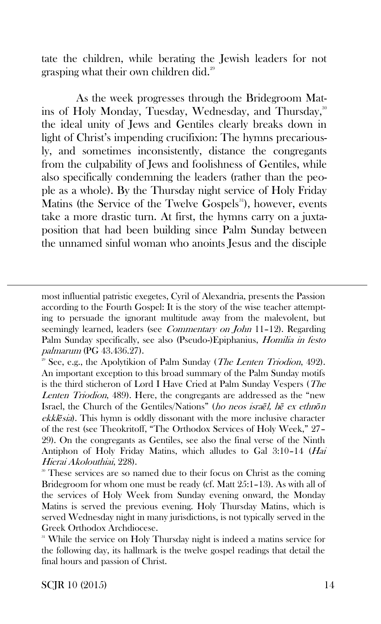tate the children, while berating the Jewish leaders for not grasping what their own children did.<sup>29</sup>

As the week progresses through the Bridegroom Matins of Holy Monday, Tuesday, Wednesday, and Thursday,<sup>30</sup> the ideal unity of Jews and Gentiles clearly breaks down in light of Christ's impending crucifixion: The hymns precariously, and sometimes inconsistently, distance the congregants from the culpability of Jews and foolishness of Gentiles, while also specifically condemning the leaders (rather than the people as a whole). By the Thursday night service of Holy Friday Matins (the Service of the Twelve Gospels<sup>31</sup>), however, events take a more drastic turn. At first, the hymns carry on a juxtaposition that had been building since Palm Sunday between the unnamed sinful woman who anoints Jesus and the disciple

 $\overline{a}$ 

most influential patristic exegetes, Cyril of Alexandria, presents the Passion according to the Fourth Gospel: It is the story of the wise teacher attempting to persuade the ignorant multitude away from the malevolent, but seemingly learned, leaders (see *Commentary on John* 11-12). Regarding Palm Sunday specifically, see also (Pseudo-)Epiphanius, Homilia in festo palmarum (PG 43.436.27).

<sup>&</sup>lt;sup>29</sup> See, e.g., the Apolytikion of Palm Sunday (*The Lenten Triodion*, 492). An important exception to this broad summary of the Palm Sunday motifs is the third sticheron of Lord I Have Cried at Palm Sunday Vespers (The Lenten Triodion, 489). Here, the congregants are addressed as the "new Israel, the Church of the Gentiles/Nations" (ho neos isra*ē*l, h*ē* ex ethn*ō*<sup>n</sup> ekkl*ē*sia). This hymn is oddly dissonant with the more inclusive character of the rest (see Theokritoff, "The Orthodox Services of Holy Week," 27– 29). On the congregants as Gentiles, see also the final verse of the Ninth Antiphon of Holy Friday Matins, which alludes to Gal 3:10–14 (Hai Hierai Akolouthiai, 228).

These services are so named due to their focus on Christ as the coming Bridegroom for whom one must be ready (cf. Matt 25:1–13). As with all of the services of Holy Week from Sunday evening onward, the Monday Matins is served the previous evening. Holy Thursday Matins, which is served Wednesday night in many jurisdictions, is not typically served in the Greek Orthodox Archdiocese.

<sup>&</sup>lt;sup>31</sup> While the service on Holy Thursday night is indeed a matins service for the following day, its hallmark is the twelve gospel readings that detail the final hours and passion of Christ.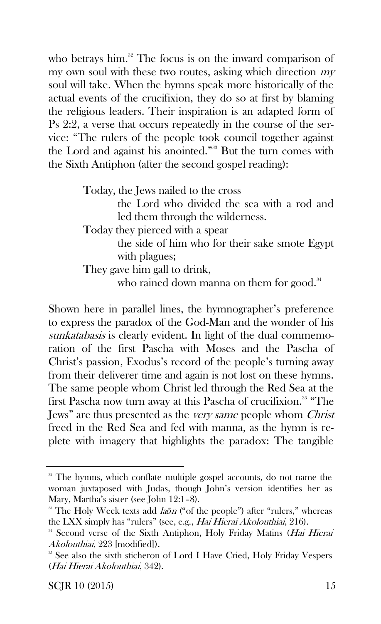who betrays him. $32$  The focus is on the inward comparison of my own soul with these two routes, asking which direction  $m\bar{v}$ soul will take. When the hymns speak more historically of the actual events of the crucifixion, they do so at first by blaming the religious leaders. Their inspiration is an adapted form of Ps 2:2, a verse that occurs repeatedly in the course of the service: "The rulers of the people took council together against the Lord and against his anointed."<sup>33</sup> But the turn comes with the Sixth Antiphon (after the second gospel reading):

Today, the Jews nailed to the cross

the Lord who divided the sea with a rod and led them through the wilderness.

Today they pierced with a spear

the side of him who for their sake smote Egypt with plagues;

They gave him gall to drink,

who rained down manna on them for good.<sup>34</sup>

Shown here in parallel lines, the hymnographer's preference to express the paradox of the God-Man and the wonder of his sunkatabasis is clearly evident. In light of the dual commemoration of the first Pascha with Moses and the Pascha of Christ's passion, Exodus's record of the people's turning away from their deliverer time and again is not lost on these hymns. The same people whom Christ led through the Red Sea at the first Pascha now turn away at this Pascha of crucifixion.<sup>35</sup> "The Jews" are thus presented as the *very same* people whom *Christ* freed in the Red Sea and fed with manna, as the hymn is replete with imagery that highlights the paradox: The tangible

<sup>&</sup>lt;sup>32</sup> The hymns, which conflate multiple gospel accounts, do not name the woman juxtaposed with Judas, though John's version identifies her as Mary, Martha's sister (see John 12:1–8).

<sup>&</sup>lt;sup>33</sup> The Holy Week texts add *laon* ("of the people") after "rulers," whereas the LXX simply has "rulers" (see, e.g., Hai Hierai Akolouthiai, 216).

<sup>&</sup>lt;sup>34</sup> Second verse of the Sixth Antiphon, Holy Friday Matins (Hai Hierai Akolouthiai, 223 [modified]).

<sup>&</sup>lt;sup>35</sup> See also the sixth sticheron of Lord I Have Cried, Holy Friday Vespers (Hai Hierai Akolouthiai, 342).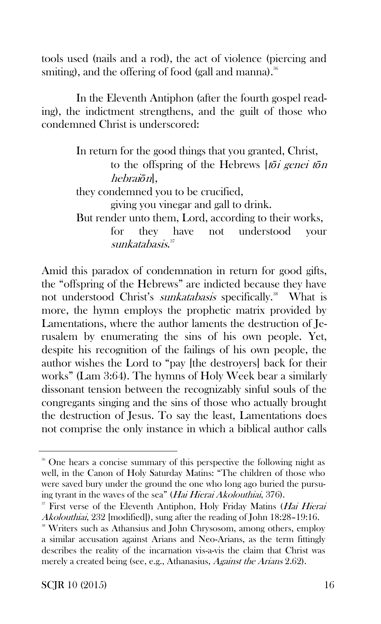tools used (nails and a rod), the act of violence (piercing and smiting), and the offering of food (gall and manna). $36$ 

In the Eleventh Antiphon (after the fourth gospel reading), the indictment strengthens, and the guilt of those who condemned Christ is underscored:

> In return for the good things that you granted, Christ, to the offspring of the Hebrews [t*ō*i genei t*ō*<sup>n</sup> hebrai*ō*n], they condemned you to be crucified, giving you vinegar and gall to drink. But render unto them, Lord, according to their works, for they have not understood your sunkatabasis.<sup>37</sup>

Amid this paradox of condemnation in return for good gifts, the "offspring of the Hebrews" are indicted because they have not understood Christ's *sunkatabasis* specifically.<sup>38</sup> What is more, the hymn employs the prophetic matrix provided by Lamentations, where the author laments the destruction of Jerusalem by enumerating the sins of his own people. Yet, despite his recognition of the failings of his own people, the author wishes the Lord to "pay [the destroyers] back for their works" (Lam 3:64). The hymns of Holy Week bear a similarly dissonant tension between the recognizably sinful souls of the congregants singing and the sins of those who actually brought the destruction of Jesus. To say the least, Lamentations does not comprise the only instance in which a biblical author calls

<sup>&</sup>lt;sup>36</sup> One hears a concise summary of this perspective the following night as well, in the Canon of Holy Saturday Matins: "The children of those who were saved bury under the ground the one who long ago buried the pursuing tyrant in the waves of the sea" (Hai Hierai Akolouthiai, 376).

<sup>&</sup>lt;sup>37</sup> First verse of the Eleventh Antiphon, Holy Friday Matins (*Hai Hierai*) Akolouthiai, 232 [modified]), sung after the reading of John 18:28–19:16.

<sup>&</sup>lt;sup>38</sup> Writers such as Athansius and John Chrysosom, among others, employ a similar accusation against Arians and Neo-Arians, as the term fittingly describes the reality of the incarnation vis-a-vis the claim that Christ was merely a created being (see, e.g., Athanasius, Against the Arians 2.62).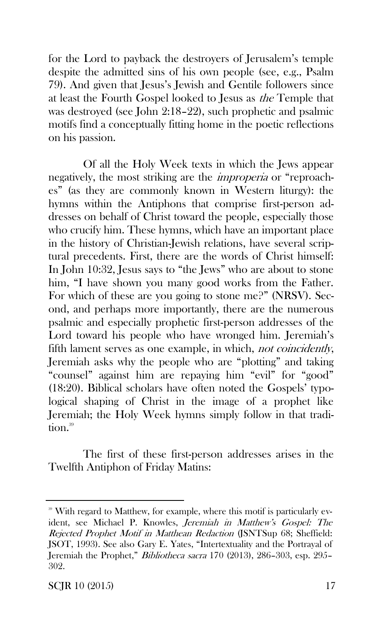for the Lord to payback the destroyers of Jerusalem's temple despite the admitted sins of his own people (see, e.g., Psalm 79). And given that Jesus's Jewish and Gentile followers since at least the Fourth Gospel looked to Jesus as the Temple that was destroyed (see John 2:18–22), such prophetic and psalmic motifs find a conceptually fitting home in the poetic reflections on his passion.

Of all the Holy Week texts in which the Jews appear negatively, the most striking are the improperia or "reproaches" (as they are commonly known in Western liturgy): the hymns within the Antiphons that comprise first-person addresses on behalf of Christ toward the people, especially those who crucify him. These hymns, which have an important place in the history of Christian-Jewish relations, have several scriptural precedents. First, there are the words of Christ himself: In John 10:32, Jesus says to "the Jews" who are about to stone him, "I have shown you many good works from the Father. For which of these are you going to stone me?" (NRSV). Second, and perhaps more importantly, there are the numerous psalmic and especially prophetic first-person addresses of the Lord toward his people who have wronged him. Jeremiah's fifth lament serves as one example, in which, *not coincidently*, Jeremiah asks why the people who are "plotting" and taking "counsel" against him are repaying him "evil" for "good" (18:20). Biblical scholars have often noted the Gospels' typological shaping of Christ in the image of a prophet like Jeremiah; the Holy Week hymns simply follow in that tradition.<sup>39</sup>

The first of these first-person addresses arises in the Twelfth Antiphon of Friday Matins:

<sup>&</sup>lt;sup>39</sup> With regard to Matthew, for example, where this motif is particularly evident, see Michael P. Knowles, Jeremiah in Matthew's Gospel: The Rejected Prophet Motif in Matthean Redaction (JSNTSup 68; Sheffield: JSOT, 1993). See also Gary E. Yates, "Intertextuality and the Portrayal of Jeremiah the Prophet," Bibliotheca sacra 170 (2013), 286–303, esp. 295– 302.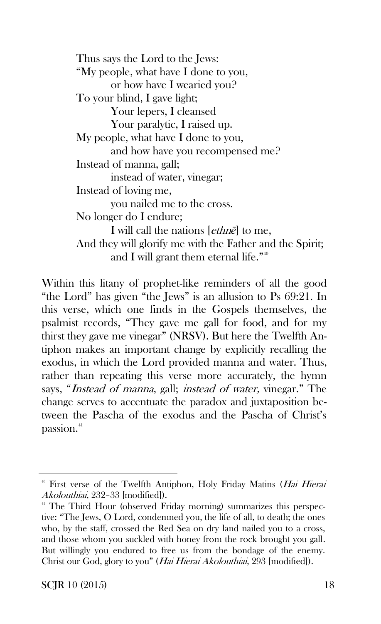Thus says the Lord to the Jews: "My people, what have I done to you, or how have I wearied you? To your blind, I gave light; Your lepers, I cleansed Your paralytic, I raised up. My people, what have I done to you, and how have you recompensed me? Instead of manna, gall; instead of water, vinegar; Instead of loving me, you nailed me to the cross. No longer do I endure; I will call the nations [ethn*ē*] to me, And they will glorify me with the Father and the Spirit; and I will grant them eternal life."<sup>40</sup>

Within this litany of prophet-like reminders of all the good "the Lord" has given "the Jews" is an allusion to Ps 69:21. In this verse, which one finds in the Gospels themselves, the psalmist records, "They gave me gall for food, and for my thirst they gave me vinegar" (NRSV). But here the Twelfth Antiphon makes an important change by explicitly recalling the exodus, in which the Lord provided manna and water. Thus, rather than repeating this verse more accurately, the hymn says, "Instead of manna, gall; instead of water, vinegar." The change serves to accentuate the paradox and juxtaposition between the Pascha of the exodus and the Pascha of Christ's passion.<sup>41</sup>

<sup>&</sup>lt;sup>40</sup> First verse of the Twelfth Antiphon, Holy Friday Matins (*Hai Hierai*) Akolouthiai, 232–33 [modified]).

<sup>&</sup>lt;sup>41</sup> The Third Hour (observed Friday morning) summarizes this perspective: "The Jews, O Lord, condemned you, the life of all, to death; the ones who, by the staff, crossed the Red Sea on dry land nailed you to a cross, and those whom you suckled with honey from the rock brought you gall. But willingly you endured to free us from the bondage of the enemy. Christ our God, glory to you" (Hai Hierai Akolouthiai, 293 [modified]).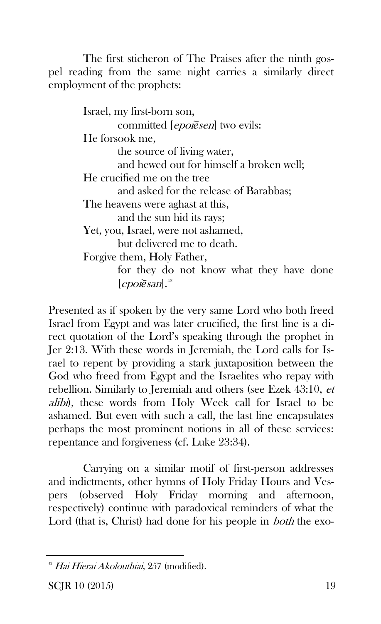The first sticheron of The Praises after the ninth gospel reading from the same night carries a similarly direct employment of the prophets:

> Israel, my first-born son, committed [epoi*ē*sen] two evils: He forsook me, the source of living water, and hewed out for himself a broken well; He crucified me on the tree and asked for the release of Barabbas; The heavens were aghast at this, and the sun hid its rays; Yet, you, Israel, were not ashamed, but delivered me to death. Forgive them, Holy Father, for they do not know what they have done  $[epo$ *i* $\bar{e}$ *san* $]$ .<sup>42</sup>

Presented as if spoken by the very same Lord who both freed Israel from Egypt and was later crucified, the first line is a direct quotation of the Lord's speaking through the prophet in Jer 2:13. With these words in Jeremiah, the Lord calls for Israel to repent by providing a stark juxtaposition between the God who freed from Egypt and the Israelites who repay with rebellion. Similarly to Jeremiah and others (see Ezek 43:10, et alibi), these words from Holy Week call for Israel to be ashamed. But even with such a call, the last line encapsulates perhaps the most prominent notions in all of these services: repentance and forgiveness (cf. Luke 23:34).

Carrying on a similar motif of first-person addresses and indictments, other hymns of Holy Friday Hours and Vespers (observed Holy Friday morning and afternoon, respectively) continue with paradoxical reminders of what the Lord (that is, Christ) had done for his people in *both* the exo-

<sup>&</sup>lt;sup>42</sup> Hai Hierai Akolouthiai, 257 (modified).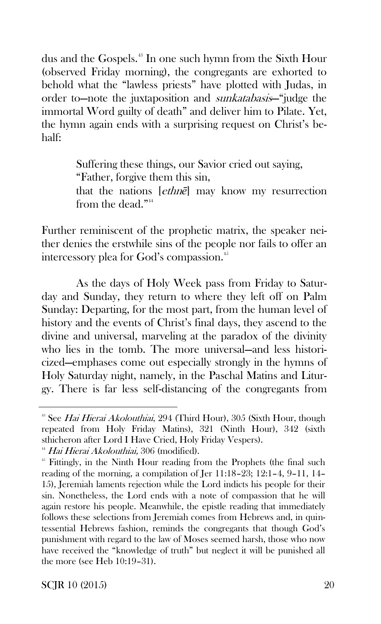dus and the Gospels.<sup>43</sup> In one such hymn from the Sixth Hour (observed Friday morning), the congregants are exhorted to behold what the "lawless priests" have plotted with Judas, in order to—note the juxtaposition and sunkatabasis—"judge the immortal Word guilty of death" and deliver him to Pilate. Yet, the hymn again ends with a surprising request on Christ's behalf:

> Suffering these things, our Savior cried out saying, "Father, forgive them this sin, that the nations [ethn*ē*] may know my resurrection from the dead."<sup>44</sup>

Further reminiscent of the prophetic matrix, the speaker neither denies the erstwhile sins of the people nor fails to offer an intercessory plea for God's compassion.<sup>45</sup>

As the days of Holy Week pass from Friday to Saturday and Sunday, they return to where they left off on Palm Sunday: Departing, for the most part, from the human level of history and the events of Christ's final days, they ascend to the divine and universal, marveling at the paradox of the divinity who lies in the tomb. The more universal—and less historicized—emphases come out especially strongly in the hymns of Holy Saturday night, namely, in the Paschal Matins and Liturgy. There is far less self-distancing of the congregants from

SCJR 10  $(2015)$  20

<sup>&</sup>lt;sup>43</sup> See *Hai Hierai Akolouthiai*, 294 (Third Hour), 305 (Sixth Hour, though repeated from Holy Friday Matins), 321 (Ninth Hour), 342 (sixth sthicheron after Lord I Have Cried, Holy Friday Vespers).

<sup>&</sup>lt;sup>44</sup> Hai Hierai Akolouthiai, 306 (modified).

<sup>&</sup>lt;sup>45</sup> Fittingly, in the Ninth Hour reading from the Prophets (the final such reading of the morning, a compilation of Jer 11:18–23; 12:1–4, 9–11, 14– 15), Jeremiah laments rejection while the Lord indicts his people for their sin. Nonetheless, the Lord ends with a note of compassion that he will again restore his people. Meanwhile, the epistle reading that immediately follows these selections from Jeremiah comes from Hebrews and, in quintessential Hebrews fashion, reminds the congregants that though God's punishment with regard to the law of Moses seemed harsh, those who now have received the "knowledge of truth" but neglect it will be punished all the more (see Heb 10:19–31).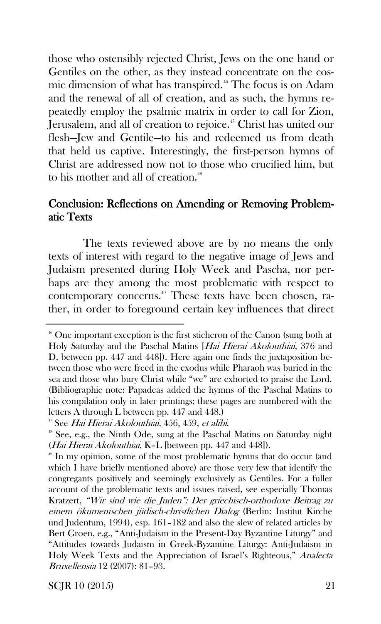those who ostensibly rejected Christ, Jews on the one hand or Gentiles on the other, as they instead concentrate on the cosmic dimension of what has transpired.<sup>46</sup> The focus is on Adam and the renewal of all of creation, and as such, the hymns repeatedly employ the psalmic matrix in order to call for Zion, Jerusalem, and all of creation to rejoice.<sup>47</sup> Christ has united our flesh—Jew and Gentile—to his and redeemed us from death that held us captive. Interestingly, the first-person hymns of Christ are addressed now not to those who crucified him, but to his mother and all of creation.<sup>48</sup>

#### Conclusion: Reflections on Amending or Removing Problematic Texts

The texts reviewed above are by no means the only texts of interest with regard to the negative image of Jews and Judaism presented during Holy Week and Pascha, nor perhaps are they among the most problematic with respect to contemporary concerns.<sup>49</sup> These texts have been chosen, rather, in order to foreground certain key influences that direct

SCJR 10  $(2015)$  21

 $46$  One important exception is the first sticheron of the Canon (sung both at Holy Saturday and the Paschal Matins [Hai Hierai Akolouthiai, 376 and D, between pp. 447 and 448]). Here again one finds the juxtaposition between those who were freed in the exodus while Pharaoh was buried in the sea and those who bury Christ while "we" are exhorted to praise the Lord. (Bibliographic note: Papadeas added the hymns of the Paschal Matins to his compilation only in later printings; these pages are numbered with the letters A through L between pp. 447 and 448.)

<sup>&</sup>lt;sup>47</sup> See Hai Hierai Akolouthiai, 456, 459, et alibi.

<sup>&</sup>lt;sup>48</sup> See, e.g., the Ninth Ode, sung at the Paschal Matins on Saturday night (Hai Hierai Akolouthiai, K–L [between pp. 447 and 448]).

<sup>49</sup> In my opinion, some of the most problematic hymns that do occur (and which I have briefly mentioned above) are those very few that identify the congregants positively and seemingly exclusively as Gentiles. For a fuller account of the problematic texts and issues raised, see especially Thomas Kratzert, "Wir sind wie die Juden": Der griechisch-orthodoxe Beitrag zu einem ökumenischen jüdisch-christlichen Dialog (Berlin: Institut Kirche und Judentum, 1994), esp. 161–182 and also the slew of related articles by Bert Groen, e.g., "Anti-Judaism in the Present-Day Byzantine Liturgy" and "Attitudes towards Judaism in Greek-Byzantine Liturgy: Anti-Judaism in Holy Week Texts and the Appreciation of Israel's Righteous," Analecta Bruxellensia 12 (2007): 81–93.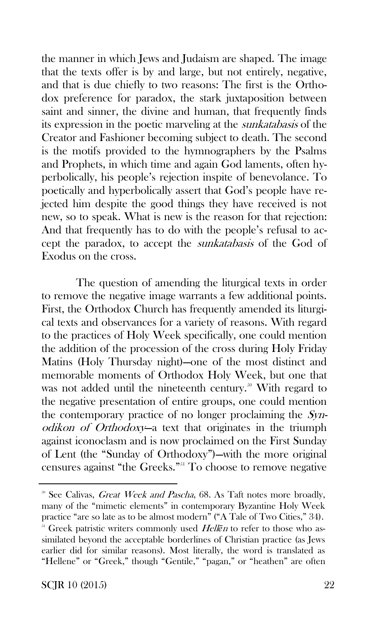the manner in which Jews and Judaism are shaped. The image that the texts offer is by and large, but not entirely, negative, and that is due chiefly to two reasons: The first is the Orthodox preference for paradox, the stark juxtaposition between saint and sinner, the divine and human, that frequently finds its expression in the poetic marveling at the sunkatabasis of the Creator and Fashioner becoming subject to death. The second is the motifs provided to the hymnographers by the Psalms and Prophets, in which time and again God laments, often hyperbolically, his people's rejection inspite of benevolance. To poetically and hyperbolically assert that God's people have rejected him despite the good things they have received is not new, so to speak. What is new is the reason for that rejection: And that frequently has to do with the people's refusal to accept the paradox, to accept the sunkatabasis of the God of Exodus on the cross.

The question of amending the liturgical texts in order to remove the negative image warrants a few additional points. First, the Orthodox Church has frequently amended its liturgical texts and observances for a variety of reasons. With regard to the practices of Holy Week specifically, one could mention the addition of the procession of the cross during Holy Friday Matins (Holy Thursday night)—one of the most distinct and memorable moments of Orthodox Holy Week, but one that was not added until the nineteenth century.<sup>50</sup> With regard to the negative presentation of entire groups, one could mention the contemporary practice of no longer proclaiming the Synodikon of Orthodoxy—a text that originates in the triumph against iconoclasm and is now proclaimed on the First Sunday of Lent (the "Sunday of Orthodoxy")—with the more original censures against "the Greeks."<sup>51</sup> To choose to remove negative

<sup>&</sup>lt;sup>50</sup> See Calivas, *Great Week and Pascha*, 68. As Taft notes more broadly, many of the "mimetic elements" in contemporary Byzantine Holy Week practice "are so late as to be almost modern" ("A Tale of Two Cities," 34). <sup>51</sup> Greek patristic writers commonly used Hellen to refer to those who assimilated beyond the acceptable borderlines of Christian practice (as Jews earlier did for similar reasons). Most literally, the word is translated as "Hellene" or "Greek," though "Gentile," "pagan," or "heathen" are often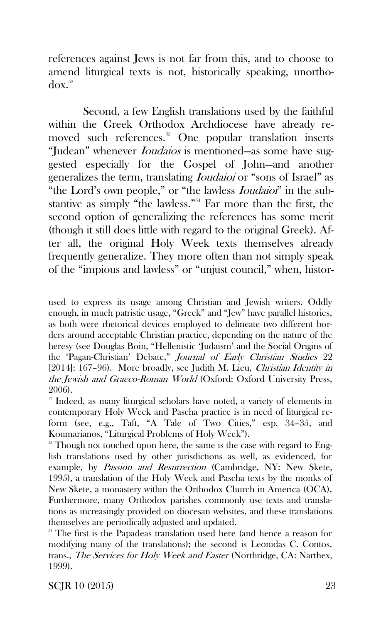references against Jews is not far from this, and to choose to amend liturgical texts is not, historically speaking, unortho $d\alpha x$ <sup>52</sup>

Second, a few English translations used by the faithful within the Greek Orthodox Archdiocese have already removed such references.<sup>53</sup> One popular translation inserts "Judean" whenever *Ioudaios* is mentioned—as some have suggested especially for the Gospel of John—and another generalizes the term, translating *Ioudaioi* or "sons of Israel" as "the Lord's own people," or "the lawless *Ioudaioi*" in the substantive as simply "the lawless."<sup>54</sup> Far more than the first, the second option of generalizing the references has some merit (though it still does little with regard to the original Greek). After all, the original Holy Week texts themselves already frequently generalize. They more often than not simply speak of the "impious and lawless" or "unjust council," when, histor-

used to express its usage among Christian and Jewish writers. Oddly enough, in much patristic usage, "Greek" and "Jew" have parallel histories, as both were rhetorical devices employed to delineate two different borders around acceptable Christian practice, depending on the nature of the heresy (see Douglas Boin, "Hellenistic 'Judaism' and the Social Origins of the 'Pagan-Christian' Debate," Journal of Early Christian Studies 22 [2014]: 167-96). More broadly, see Judith M. Lieu, Christian Identity in the Jewish and Graeco-Roman World (Oxford: Oxford University Press, 2006).

SCJR 10 (2015) 23

 $\overline{a}$ 

<sup>&</sup>lt;sup>52</sup> Indeed, as many liturgical scholars have noted, a variety of elements in contemporary Holy Week and Pascha practice is in need of liturgical reform (see, e.g., Taft, "A Tale of Two Cities," esp. 34–35, and Koumarianos, "Liturgical Problems of Holy Week").

<sup>&</sup>lt;sup>53</sup> Though not touched upon here, the same is the case with regard to English translations used by other jurisdictions as well, as evidenced, for example, by Passion and Resurrection (Cambridge, NY: New Skete, 1995), a translation of the Holy Week and Pascha texts by the monks of New Skete, a monastery within the Orthodox Church in America (OCA). Furthermore, many Orthodox parishes commonly use texts and translations as increasingly provided on diocesan websites, and these translations themselves are periodically adjusted and updated.

<sup>&</sup>lt;sup>54</sup> The first is the Papadeas translation used here (and hence a reason for modifying many of the translations); the second is Leonidas C. Contos, trans., The Services for Holy Week and Easter (Northridge, CA: Narthex, 1999).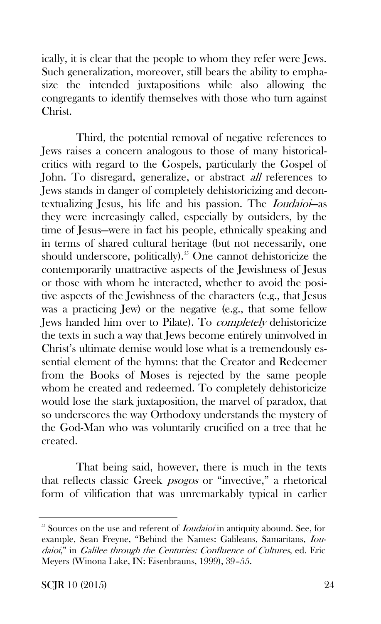ically, it is clear that the people to whom they refer were Jews. Such generalization, moreover, still bears the ability to emphasize the intended juxtapositions while also allowing the congregants to identify themselves with those who turn against Christ.

Third, the potential removal of negative references to Jews raises a concern analogous to those of many historicalcritics with regard to the Gospels, particularly the Gospel of John. To disregard, generalize, or abstract *all* references to Jews stands in danger of completely dehistoricizing and decontextualizing Jesus, his life and his passion. The Ioudaioi—as they were increasingly called, especially by outsiders, by the time of Jesus—were in fact his people, ethnically speaking and in terms of shared cultural heritage (but not necessarily, one should underscore, politically).<sup>55</sup> One cannot dehistoricize the contemporarily unattractive aspects of the Jewishness of Jesus or those with whom he interacted, whether to avoid the positive aspects of the Jewishness of the characters (e.g., that Jesus was a practicing Jew) or the negative (e.g., that some fellow Jews handed him over to Pilate). To completely dehistoricize the texts in such a way that Jews become entirely uninvolved in Christ's ultimate demise would lose what is a tremendously essential element of the hymns: that the Creator and Redeemer from the Books of Moses is rejected by the same people whom he created and redeemed. To completely dehistoricize would lose the stark juxtaposition, the marvel of paradox, that so underscores the way Orthodoxy understands the mystery of the God-Man who was voluntarily crucified on a tree that he created.

That being said, however, there is much in the texts that reflects classic Greek psogos or "invective," a rhetorical form of vilification that was unremarkably typical in earlier

<sup>&</sup>lt;sup>55</sup> Sources on the use and referent of *Ioudaioi* in antiquity abound. See, for example, Sean Freyne, "Behind the Names: Galileans, Samaritans, Ioudaioi," in Galilee through the Centuries: Confluence of Cultures, ed. Eric Meyers (Winona Lake, IN: Eisenbrauns, 1999), 39–55.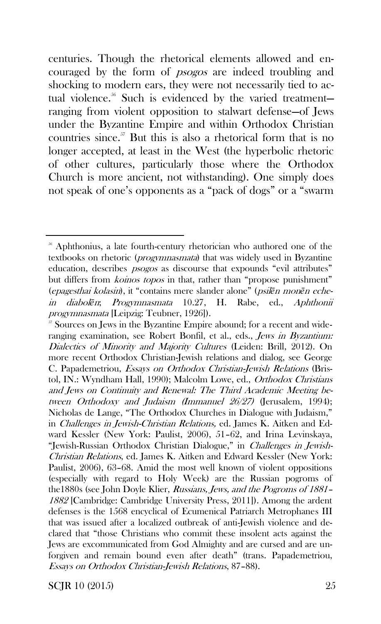centuries. Though the rhetorical elements allowed and encouraged by the form of psogos are indeed troubling and shocking to modern ears, they were not necessarily tied to actual violence.<sup>56</sup> Such is evidenced by the varied treatmentranging from violent opposition to stalwart defense—of Jews under the Byzantine Empire and within Orthodox Christian countries since. $57$  But this is also a rhetorical form that is no longer accepted, at least in the West (the hyperbolic rhetoric of other cultures, particularly those where the Orthodox Church is more ancient, not withstanding). One simply does not speak of one's opponents as a "pack of dogs" or a "swarm

SCJR 10  $(2015)$  25

<sup>&</sup>lt;sup>56</sup> Aphthonius, a late fourth-century rhetorician who authored one of the textbooks on rhetoric (progymnasmata) that was widely used in Byzantine education, describes *psogos* as discourse that expounds "evil attributes" but differs from *koinos topos* in that, rather than "propose punishment" (epagesthai kolasin), it "contains mere slander alone" (psil*ē*<sup>n</sup> mon*ē*n echein diabol*ē*n; Progymnasmata 10.27, H. Rabe, ed., Aphthonii progymnasmata [Leipzig: Teubner, 1926]).

<sup>&</sup>lt;sup>57</sup> Sources on Jews in the Byzantine Empire abound; for a recent and wideranging examination, see Robert Bonfil, et al., eds., *Jews in Byzantium:* Dialectics of Minority and Majority Cultures (Leiden: Brill, 2012). On more recent Orthodox Christian-Jewish relations and dialog, see George C. Papademetriou, Essays on Orthodox Christian-Jewish Relations (Bristol, IN.: Wyndham Hall, 1990); Malcolm Lowe, ed., Orthodox Christians and Jews on Continuity and Renewal: The Third Academic Meeting between Orthodoxy and Judaism (Immanuel 26/27) (Jerusalem, 1994); Nicholas de Lange, "The Orthodox Churches in Dialogue with Judaism," in Challenges in Jewish-Christian Relations, ed. James K. Aitken and Edward Kessler (New York: Paulist, 2006), 51–62, and Irina Levinskaya, "Jewish-Russian Orthodox Christian Dialogue," in Challenges in Jewish-Christian Relations, ed. James K. Aitken and Edward Kessler (New York: Paulist, 2006), 63–68. Amid the most well known of violent oppositions (especially with regard to Holy Week) are the Russian pogroms of the1880s (see John Doyle Klier, Russians, Jews, and the Pogroms of 1881– <sup>1882</sup>[Cambridge: Cambridge University Press, 2011]). Among the ardent defenses is the 1568 encyclical of Ecumenical Patriarch Metrophanes III that was issued after a localized outbreak of anti-Jewish violence and declared that "those Christians who commit these insolent acts against the Jews are excommunicated from God Almighty and are cursed and are unforgiven and remain bound even after death" (trans. Papademetriou, Essays on Orthodox Christian-Jewish Relations, 87–88).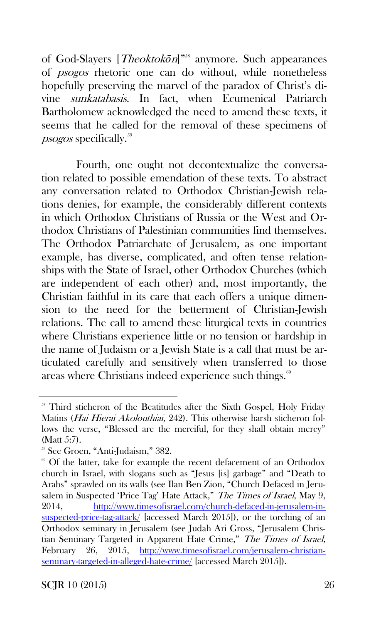of God-Slayers [*Theoktokōn*]"<sup>58</sup> anymore. Such appearances of psogos rhetoric one can do without, while nonetheless hopefully preserving the marvel of the paradox of Christ's divine sunkatabasis. In fact, when Ecumenical Patriarch Bartholomew acknowledged the need to amend these texts, it seems that he called for the removal of these specimens of  $p<sub>sogos</sub>$  specifically.<sup>59</sup>

Fourth, one ought not decontextualize the conversation related to possible emendation of these texts. To abstract any conversation related to Orthodox Christian-Jewish relations denies, for example, the considerably different contexts in which Orthodox Christians of Russia or the West and Orthodox Christians of Palestinian communities find themselves. The Orthodox Patriarchate of Jerusalem, as one important example, has diverse, complicated, and often tense relationships with the State of Israel, other Orthodox Churches (which are independent of each other) and, most importantly, the Christian faithful in its care that each offers a unique dimension to the need for the betterment of Christian-Jewish relations. The call to amend these liturgical texts in countries where Christians experience little or no tension or hardship in the name of Judaism or a Jewish State is a call that must be articulated carefully and sensitively when transferred to those areas where Christians indeed experience such things.<sup>60</sup>

<sup>&</sup>lt;sup>58</sup> Third sticheron of the Beatitudes after the Sixth Gospel, Holy Friday Matins (Hai Hierai Akolouthiai, 242). This otherwise harsh sticheron follows the verse, "Blessed are the merciful, for they shall obtain mercy" (Matt 5:7).

<sup>59</sup> See Groen, "Anti-Judaism," 382.

<sup>&</sup>lt;sup>60</sup> Of the latter, take for example the recent defacement of an Orthodox church in Israel, with slogans such as "Jesus [is] garbage" and "Death to Arabs" sprawled on its walls (see Ilan Ben Zion, "Church Defaced in Jerusalem in Suspected 'Price Tag' Hate Attack," The Times of Israel, May 9, 2014, [http://www.timesofisrael.com/church-defaced-in-jerusalem-in](http://www.timesofisrael.com/church-defaced-in-jerusalem-in-suspected-price-tag-attack/)[suspected-price-tag-attack/](http://www.timesofisrael.com/church-defaced-in-jerusalem-in-suspected-price-tag-attack/) [accessed March 2015]), or the torching of an Orthodox seminary in Jerusalem (see Judah Ari Gross, "Jerusalem Christian Seminary Targeted in Apparent Hate Crime," The Times of Israel, February 26, 2015, [http://www.timesofisrael.com/jerusalem-christian](http://www.timesofisrael.com/jerusalem-christian-seminary-targeted-in-alleged-hate-crime/)[seminary-targeted-in-alleged-hate-crime/](http://www.timesofisrael.com/jerusalem-christian-seminary-targeted-in-alleged-hate-crime/) [accessed March 2015]).